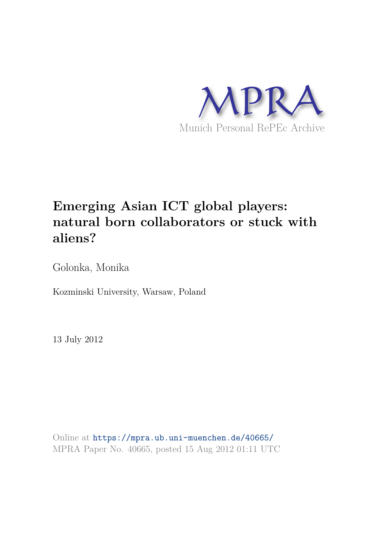

# **Emerging Asian ICT global players: natural born collaborators or stuck with aliens?**

Golonka, Monika

Kozminski University, Warsaw, Poland

13 July 2012

Online at https://mpra.ub.uni-muenchen.de/40665/ MPRA Paper No. 40665, posted 15 Aug 2012 01:11 UTC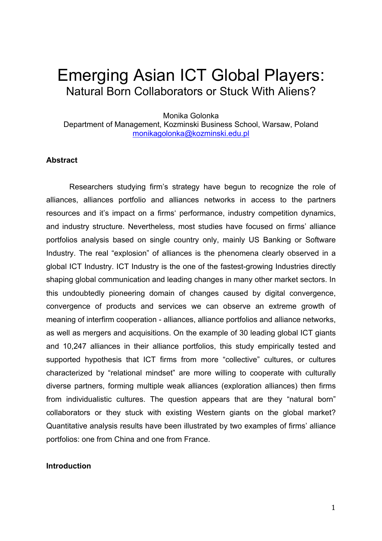## Emerging Asian ICT Global Players: Natural Born Collaborators or Stuck With Aliens?

Monika Golonka

Department of Management, Kozminski Business School, Warsaw, Poland monikagolonka@kozminski.edu.pl

## **Abstract**

Researchers studying firm's strategy have begun to recognize the role of alliances, alliances portfolio and alliances networks in access to the partners resources and it's impact on a firms' performance, industry competition dynamics, and industry structure. Nevertheless, most studies have focused on firms' alliance portfolios analysis based on single country only, mainly US Banking or Software Industry. The real "explosion" of alliances is the phenomena clearly observed in a global ICT Industry. ICT Industry is the one of the fastest-growing Industries directly shaping global communication and leading changes in many other market sectors. In this undoubtedly pioneering domain of changes caused by digital convergence, convergence of products and services we can observe an extreme growth of meaning of interfirm cooperation - alliances, alliance portfolios and alliance networks, as well as mergers and acquisitions. On the example of 30 leading global ICT giants and 10,247 alliances in their alliance portfolios, this study empirically tested and supported hypothesis that ICT firms from more "collective" cultures, or cultures characterized by "relational mindset" are more willing to cooperate with culturally diverse partners, forming multiple weak alliances (exploration alliances) then firms from individualistic cultures. The question appears that are they "natural born" collaborators or they stuck with existing Western giants on the global market? Quantitative analysis results have been illustrated by two examples of firms' alliance portfolios: one from China and one from France.

## **Introduction**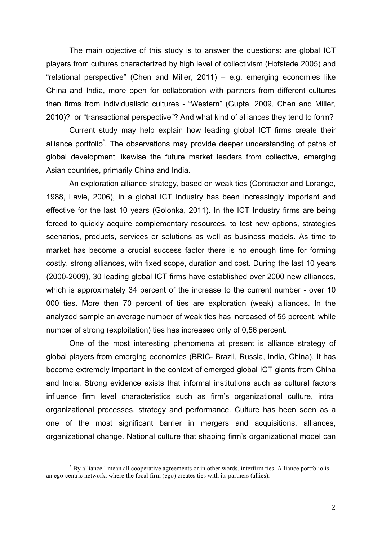The main objective of this study is to answer the questions: are global ICT players from cultures characterized by high level of collectivism (Hofstede 2005) and "relational perspective" (Chen and Miller, 2011) – e.g. emerging economies like China and India, more open for collaboration with partners from different cultures then firms from individualistic cultures - "Western" (Gupta, 2009, Chen and Miller, 2010)? or "transactional perspective"? And what kind of alliances they tend to form?

Current study may help explain how leading global ICT firms create their alliance portfolio<sup>\*</sup>. The observations may provide deeper understanding of paths of global development likewise the future market leaders from collective, emerging Asian countries, primarily China and India.

An exploration alliance strategy, based on weak ties (Contractor and Lorange, 1988, Lavie, 2006), in a global ICT Industry has been increasingly important and effective for the last 10 years (Golonka, 2011). In the ICT Industry firms are being forced to quickly acquire complementary resources, to test new options, strategies scenarios, products, services or solutions as well as business models. As time to market has become a crucial success factor there is no enough time for forming costly, strong alliances, with fixed scope, duration and cost. During the last 10 years (2000-2009), 30 leading global ICT firms have established over 2000 new alliances, which is approximately 34 percent of the increase to the current number - over 10 000 ties. More then 70 percent of ties are exploration (weak) alliances. In the analyzed sample an average number of weak ties has increased of 55 percent, while number of strong (exploitation) ties has increased only of 0,56 percent.

One of the most interesting phenomena at present is alliance strategy of global players from emerging economies (BRIC- Brazil, Russia, India, China). It has become extremely important in the context of emerged global ICT giants from China and India. Strong evidence exists that informal institutions such as cultural factors influence firm level characteristics such as firm's organizational culture, intraorganizational processes, strategy and performance. Culture has been seen as a one of the most significant barrier in mergers and acquisitions, alliances, organizational change. National culture that shaping firm's organizational model can

<sup>\*</sup> By alliance I mean all cooperative agreements or in other words, interfirm ties. Alliance portfolio is an ego-centric network, where the focal firm (ego) creates ties with its partners (allies).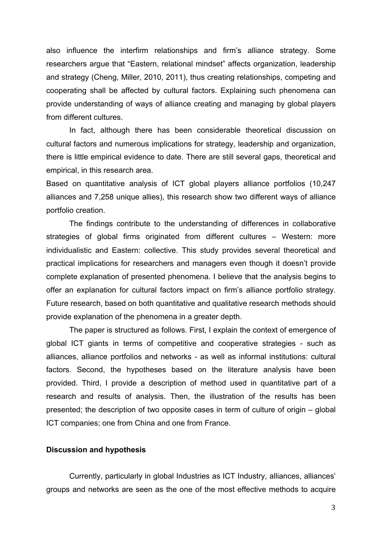also influence the interfirm relationships and firm's alliance strategy. Some researchers argue that "Eastern, relational mindset" affects organization, leadership and strategy (Cheng, Miller, 2010, 2011), thus creating relationships, competing and cooperating shall be affected by cultural factors. Explaining such phenomena can provide understanding of ways of alliance creating and managing by global players from different cultures.

In fact, although there has been considerable theoretical discussion on cultural factors and numerous implications for strategy, leadership and organization, there is little empirical evidence to date. There are still several gaps, theoretical and empirical, in this research area.

Based on quantitative analysis of ICT global players alliance portfolios (10,247 alliances and 7,258 unique allies), this research show two different ways of alliance portfolio creation.

The findings contribute to the understanding of differences in collaborative strategies of global firms originated from different cultures – Western: more individualistic and Eastern: collective. This study provides several theoretical and practical implications for researchers and managers even though it doesn't provide complete explanation of presented phenomena. I believe that the analysis begins to offer an explanation for cultural factors impact on firm's alliance portfolio strategy. Future research, based on both quantitative and qualitative research methods should provide explanation of the phenomena in a greater depth.

The paper is structured as follows. First, I explain the context of emergence of global ICT giants in terms of competitive and cooperative strategies - such as alliances, alliance portfolios and networks - as well as informal institutions: cultural factors. Second, the hypotheses based on the literature analysis have been provided. Third, I provide a description of method used in quantitative part of a research and results of analysis. Then, the illustration of the results has been presented; the description of two opposite cases in term of culture of origin – global ICT companies; one from China and one from France.

#### **Discussion and hypothesis**

Currently, particularly in global Industries as ICT Industry, alliances, alliances' groups and networks are seen as the one of the most effective methods to acquire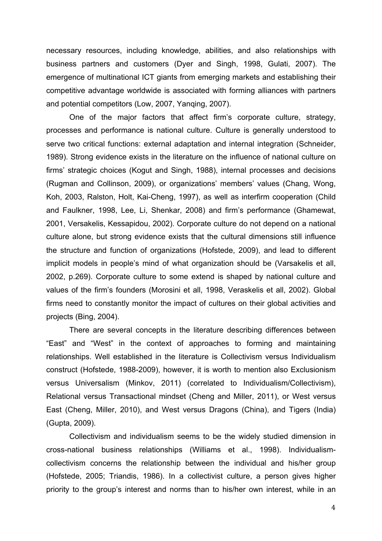necessary resources, including knowledge, abilities, and also relationships with business partners and customers (Dyer and Singh, 1998, Gulati, 2007). The emergence of multinational ICT giants from emerging markets and establishing their competitive advantage worldwide is associated with forming alliances with partners and potential competitors (Low, 2007, Yanqing, 2007).

One of the major factors that affect firm's corporate culture, strategy, processes and performance is national culture. Culture is generally understood to serve two critical functions: external adaptation and internal integration (Schneider, 1989). Strong evidence exists in the literature on the influence of national culture on firms' strategic choices (Kogut and Singh, 1988), internal processes and decisions (Rugman and Collinson, 2009), or organizations' members' values (Chang, Wong, Koh, 2003, Ralston, Holt, Kai-Cheng, 1997), as well as interfirm cooperation (Child and Faulkner, 1998, Lee, Li, Shenkar, 2008) and firm's performance (Ghamewat, 2001, Versakelis, Kessapidou, 2002). Corporate culture do not depend on a national culture alone, but strong evidence exists that the cultural dimensions still influence the structure and function of organizations (Hofstede, 2009), and lead to different implicit models in people's mind of what organization should be (Varsakelis et all, 2002, p.269). Corporate culture to some extend is shaped by national culture and values of the firm's founders (Morosini et all, 1998, Veraskelis et all, 2002). Global firms need to constantly monitor the impact of cultures on their global activities and projects (Bing, 2004).

There are several concepts in the literature describing differences between "East" and "West" in the context of approaches to forming and maintaining relationships. Well established in the literature is Collectivism versus Individualism construct (Hofstede, 1988-2009), however, it is worth to mention also Exclusionism versus Universalism (Minkov, 2011) (correlated to Individualism/Collectivism), Relational versus Transactional mindset (Cheng and Miller, 2011), or West versus East (Cheng, Miller, 2010), and West versus Dragons (China), and Tigers (India) (Gupta, 2009).

Collectivism and individualism seems to be the widely studied dimension in cross-national business relationships (Williams et al., 1998). Individualismcollectivism concerns the relationship between the individual and his/her group (Hofstede, 2005; Triandis, 1986). In a collectivist culture, a person gives higher priority to the group's interest and norms than to his/her own interest, while in an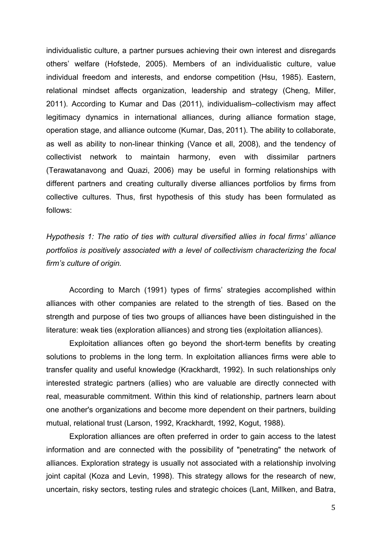individualistic culture, a partner pursues achieving their own interest and disregards others' welfare (Hofstede, 2005). Members of an individualistic culture, value individual freedom and interests, and endorse competition (Hsu, 1985). Eastern, relational mindset affects organization, leadership and strategy (Cheng, Miller, 2011). According to Kumar and Das (2011), individualism–collectivism may affect legitimacy dynamics in international alliances, during alliance formation stage, operation stage, and alliance outcome (Kumar, Das, 2011). The ability to collaborate, as well as ability to non-linear thinking (Vance et all, 2008), and the tendency of collectivist network to maintain harmony, even with dissimilar partners (Terawatanavong and Quazi, 2006) may be useful in forming relationships with different partners and creating culturally diverse alliances portfolios by firms from collective cultures. Thus, first hypothesis of this study has been formulated as follows:

*Hypothesis 1: The ratio of ties with cultural diversified allies in focal firms' alliance portfolios is positively associated with a level of collectivism characterizing the focal firm's culture of origin.* 

According to March (1991) types of firms' strategies accomplished within alliances with other companies are related to the strength of ties. Based on the strength and purpose of ties two groups of alliances have been distinguished in the literature: weak ties (exploration alliances) and strong ties (exploitation alliances).

Exploitation alliances often go beyond the short-term benefits by creating solutions to problems in the long term. In exploitation alliances firms were able to transfer quality and useful knowledge (Krackhardt, 1992). In such relationships only interested strategic partners (allies) who are valuable are directly connected with real, measurable commitment. Within this kind of relationship, partners learn about one another's organizations and become more dependent on their partners, building mutual, relational trust (Larson, 1992, Krackhardt, 1992, Kogut, 1988).

Exploration alliances are often preferred in order to gain access to the latest information and are connected with the possibility of "penetrating" the network of alliances. Exploration strategy is usually not associated with a relationship involving joint capital (Koza and Levin, 1998). This strategy allows for the research of new, uncertain, risky sectors, testing rules and strategic choices (Lant, Millken, and Batra,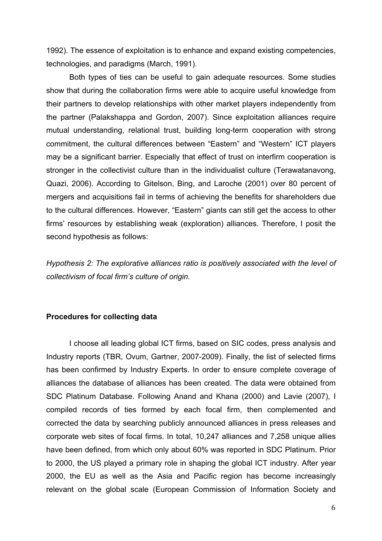1992). The essence of exploitation is to enhance and expand existing competencies, technologies, and paradigms (March, 1991).

Both types of ties can be useful to gain adequate resources. Some studies show that during the collaboration firms were able to acquire useful knowledge from their partners to develop relationships with other market players independently from the partner (Palakshappa and Gordon, 2007). Since exploitation alliances require mutual understanding, relational trust, building long-term cooperation with strong commitment, the cultural differences between "Eastern" and "Western" ICT players may be a significant barrier. Especially that effect of trust on interfirm cooperation is stronger in the collectivist culture than in the individualist culture (Terawatanavong, Quazi, 2006). According to Gitelson, Bing, and Laroche (2001) over 80 percent of mergers and acquisitions fail in terms of achieving the benefits for shareholders due to the cultural differences. However, "Eastern" giants can still get the access to other firms' resources by establishing weak (exploration) alliances. Therefore, I posit the second hypothesis as follows:

*Hypothesis 2: The explorative alliances ratio is positively associated with the level of collectivism of focal firm's culture of origin.* 

#### **Procedures for collecting data**

I choose all leading global ICT firms, based on SIC codes, press analysis and Industry reports (TBR, Ovum, Gartner, 2007-2009). Finally, the list of selected firms has been confirmed by Industry Experts. In order to ensure complete coverage of alliances the database of alliances has been created. The data were obtained from SDC Platinum Database. Following Anand and Khana (2000) and Lavie (2007), I compiled records of ties formed by each focal firm, then complemented and corrected the data by searching publicly announced alliances in press releases and corporate web sites of focal firms. In total, 10,247 alliances and 7,258 unique allies have been defined, from which only about 60% was reported in SDC Platinum. Prior to 2000, the US played a primary role in shaping the global ICT industry. After year 2000, the EU as well as the Asia and Pacific region has become increasingly relevant on the global scale (European Commission of Information Society and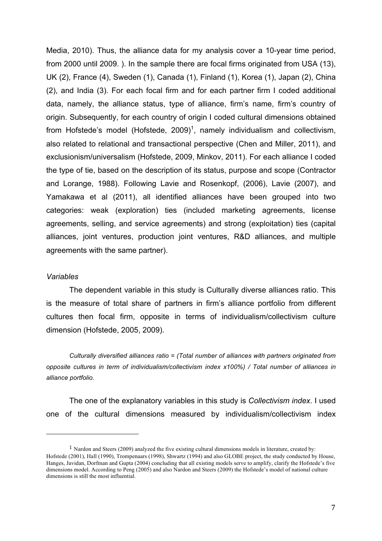Media, 2010). Thus, the alliance data for my analysis cover a 10-year time period, from 2000 until 2009. ). In the sample there are focal firms originated from USA (13), UK (2), France (4), Sweden (1), Canada (1), Finland (1), Korea (1), Japan (2), China (2), and India (3). For each focal firm and for each partner firm I coded additional data, namely, the alliance status, type of alliance, firm's name, firm's country of origin. Subsequently, for each country of origin I coded cultural dimensions obtained from Hofstede's model (Hofstede, 2009)<sup>1</sup>, namely individualism and collectivism, also related to relational and transactional perspective (Chen and Miller, 2011), and exclusionism/universalism (Hofstede, 2009, Minkov, 2011). For each alliance I coded the type of tie, based on the description of its status, purpose and scope (Contractor and Lorange, 1988). Following Lavie and Rosenkopf, (2006), Lavie (2007), and Yamakawa et al (2011), all identified alliances have been grouped into two categories: weak (exploration) ties (included marketing agreements, license agreements, selling, and service agreements) and strong (exploitation) ties (capital alliances, joint ventures, production joint ventures, R&D alliances, and multiple agreements with the same partner).

#### *Variables*

The dependent variable in this study is Culturally diverse alliances ratio. This is the measure of total share of partners in firm's alliance portfolio from different cultures then focal firm, opposite in terms of individualism/collectivism culture dimension (Hofstede, 2005, 2009).

*Culturally diversified alliances ratio = (Total number of alliances with partners originated from opposite cultures in term of individualism/collectivism index x100%) / Total number of alliances in alliance portfolio.*

The one of the explanatory variables in this study is *Collectivism index*. I used one of the cultural dimensions measured by individualism/collectivism index

<sup>1</sup> Nardon and Steers (2009) analyzed the five existing cultural dimensions models in literature, created by: Hofstede (2001), Hall (1990), Trompenaars (1998), Shwartz (1994) and also GLOBE project, the study conducted by House, Hanges, Javidan, Dorfman and Gupta (2004) concluding that all existing models serve to amplify, clarify the Hofstede's five dimensions model. According to Peng (2005) and also Nardon and Steers (2009) the Hofstede's model of national culture dimensions is still the most influential.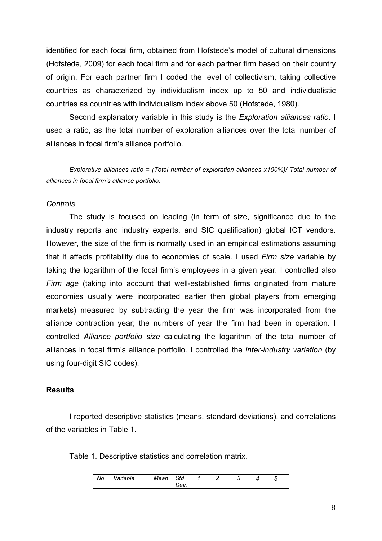identified for each focal firm, obtained from Hofstede's model of cultural dimensions (Hofstede, 2009) for each focal firm and for each partner firm based on their country of origin. For each partner firm I coded the level of collectivism, taking collective countries as characterized by individualism index up to 50 and individualistic countries as countries with individualism index above 50 (Hofstede, 1980).

Second explanatory variable in this study is the *Exploration alliances ratio*. I used a ratio, as the total number of exploration alliances over the total number of alliances in focal firm's alliance portfolio.

*Explorative alliances ratio = (Total number of exploration alliances x100%)/ Total number of alliances in focal firm's alliance portfolio.* 

## *Controls*

The study is focused on leading (in term of size, significance due to the industry reports and industry experts, and SIC qualification) global ICT vendors. However, the size of the firm is normally used in an empirical estimations assuming that it affects profitability due to economies of scale. I used *Firm size* variable by taking the logarithm of the focal firm's employees in a given year. I controlled also *Firm age* (taking into account that well-established firms originated from mature economies usually were incorporated earlier then global players from emerging markets) measured by subtracting the year the firm was incorporated from the alliance contraction year; the numbers of year the firm had been in operation. I controlled *Alliance portfolio size* calculating the logarithm of the total number of alliances in focal firm's alliance portfolio. I controlled the *inter-industry variation* (by using four-digit SIC codes).

#### **Results**

I reported descriptive statistics (means, standard deviations), and correlations of the variables in Table 1.

Table 1. Descriptive statistics and correlation matrix.

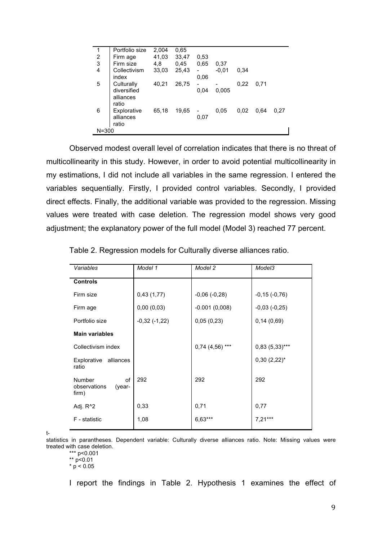| 1                       | Portfolio size | 2,004 | 0.65  |      |         |      |      |      |
|-------------------------|----------------|-------|-------|------|---------|------|------|------|
|                         | Firm age       | 41,03 | 33,47 | 0.53 |         |      |      |      |
| $\frac{2}{3}$           | Firm size      | 4,8   | 0,45  | 0.65 | 0,37    |      |      |      |
| $\overline{\mathbf{4}}$ | Collectivism   | 33,03 | 25,43 |      | $-0.01$ | 0.34 |      |      |
|                         | index          |       |       | 0.06 |         |      |      |      |
| 5                       | Culturally     | 40,21 | 26,75 | -    |         | 0,22 | 0.71 |      |
|                         | diversified    |       |       | 0.04 | 0.005   |      |      |      |
|                         | alliances      |       |       |      |         |      |      |      |
|                         | ratio          |       |       |      |         |      |      |      |
| 6                       | Explorative    | 65,18 | 19,65 |      | 0,05    | 0.02 | 0.64 | 0.27 |
|                         | alliances      |       |       | 0,07 |         |      |      |      |
|                         | ratio          |       |       |      |         |      |      |      |
| $N = 300$               |                |       |       |      |         |      |      |      |
|                         |                |       |       |      |         |      |      |      |

Observed modest overall level of correlation indicates that there is no threat of multicollinearity in this study. However, in order to avoid potential multicollinearity in my estimations, I did not include all variables in the same regression. I entered the variables sequentially. Firstly, I provided control variables. Secondly, I provided direct effects. Finally, the additional variable was provided to the regression. Missing values were treated with case deletion. The regression model shows very good adjustment; the explanatory power of the full model (Model 3) reached 77 percent.

| Variables                                              | Model 1        | Model 2           | Model3           |  |
|--------------------------------------------------------|----------------|-------------------|------------------|--|
| <b>Controls</b>                                        |                |                   |                  |  |
| Firm size                                              | 0,43(1,77)     | $-0,06(-0,28)$    | $-0,15(-0,76)$   |  |
| Firm age                                               | 0,00(0,03)     | $-0.001(0,008)$   | $-0,03(-0,25)$   |  |
| Portfolio size                                         | $-0,32(-1,22)$ | 0,05(0,23)        | 0,14(0,69)       |  |
| <b>Main variables</b>                                  |                |                   |                  |  |
| Collectivism index                                     |                | $0,74$ (4,56) *** | $0,83(5,33)***$  |  |
| alliances<br>Explorative<br>ratio                      |                |                   | $0,30(2,22)^{*}$ |  |
| <b>Number</b><br>οf<br>observations<br>(year-<br>firm) | 292            | 292               | 292              |  |
| Adj. R <sup>^2</sup>                                   | 0,33           | 0,71              | 0,77             |  |
| F - statistic                                          | 1,08           | 6,63***           | $7,21***$        |  |

Table 2. Regression models for Culturally diverse alliances ratio.

t-

statistics in parantheses. Dependent variable: Culturally diverse alliances ratio. Note: Missing values were treated with case deletion.

\*\*\* p<0.001

\*\* p<0.01

 $*$  p < 0.05

I report the findings in Table 2. Hypothesis 1 examines the effect of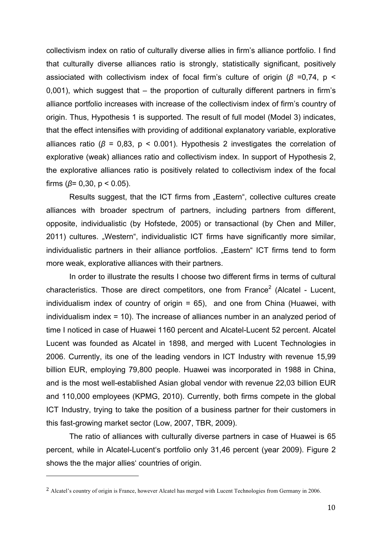collectivism index on ratio of culturally diverse allies in firm's alliance portfolio. I find that culturally diverse alliances ratio is strongly, statistically significant, positively assiociated with collectivism index of focal firm's culture of origin (β =0,74, p < 0,001), which suggest that – the proportion of culturally different partners in firm's alliance portfolio increases with increase of the collectivism index of firm's country of origin. Thus, Hypothesis 1 is supported. The result of full model (Model 3) indicates, that the effect intensifies with providing of additional explanatory variable, explorative alliances ratio ( $\beta$  = 0,83,  $p$  < 0.001). Hypothesis 2 investigates the correlation of explorative (weak) alliances ratio and collectivism index. In support of Hypothesis 2, the explorative alliances ratio is positively related to collectivism index of the focal firms ( $\beta$ = 0,30, p < 0.05).

Results suggest, that the ICT firms from "Eastern", collective cultures create alliances with broader spectrum of partners, including partners from different, opposite, individualistic (by Hofstede, 2005) or transactional (by Chen and Miller, 2011) cultures. "Western", individualistic ICT firms have significantly more similar, individualistic partners in their alliance portfolios. "Eastern" ICT firms tend to form more weak, explorative alliances with their partners.

In order to illustrate the results I choose two different firms in terms of cultural characteristics. Those are direct competitors, one from France<sup>2</sup> (Alcatel - Lucent, individualism index of country of origin = 65), and one from China (Huawei, with individualism index = 10). The increase of alliances number in an analyzed period of time I noticed in case of Huawei 1160 percent and Alcatel-Lucent 52 percent. Alcatel Lucent was founded as Alcatel in 1898, and merged with Lucent Technologies in 2006. Currently, its one of the leading vendors in ICT Industry with revenue 15,99 billion EUR, employing 79,800 people. Huawei was incorporated in 1988 in China, and is the most well-established Asian global vendor with revenue 22,03 billion EUR and 110,000 employees (KPMG, 2010). Currently, both firms compete in the global ICT Industry, trying to take the position of a business partner for their customers in this fast-growing market sector (Low, 2007, TBR, 2009).

The ratio of alliances with culturally diverse partners in case of Huawei is 65 percent, while in Alcatel-Lucent's portfolio only 31,46 percent (year 2009). Figure 2 shows the the major allies' countries of origin.

<sup>2</sup> Alcatel's country of origin is France, however Alcatel has merged with Lucent Technologies from Germany in 2006.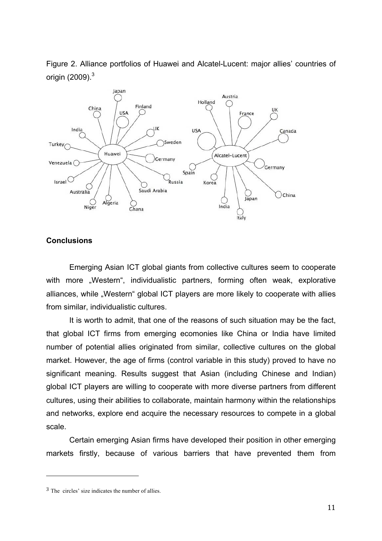Figure 2. Alliance portfolios of Huawei and Alcatel-Lucent: major allies' countries of origin (2009). $^3$ 



## **Conclusions**

Emerging Asian ICT global giants from collective cultures seem to cooperate with more "Western", individualistic partners, forming often weak, explorative alliances, while "Western" global ICT players are more likely to cooperate with allies from similar, individualistic cultures.

It is worth to admit, that one of the reasons of such situation may be the fact, that global ICT firms from emerging ecomonies like China or India have limited number of potential allies originated from similar, collective cultures on the global market. However, the age of firms (control variable in this study) proved to have no significant meaning. Results suggest that Asian (including Chinese and Indian) global ICT players are willing to cooperate with more diverse partners from different cultures, using their abilities to collaborate, maintain harmony within the relationships and networks, explore end acquire the necessary resources to compete in a global scale.

Certain emerging Asian firms have developed their position in other emerging markets firstly, because of various barriers that have prevented them from

<sup>3</sup> The circles' size indicates the number of allies.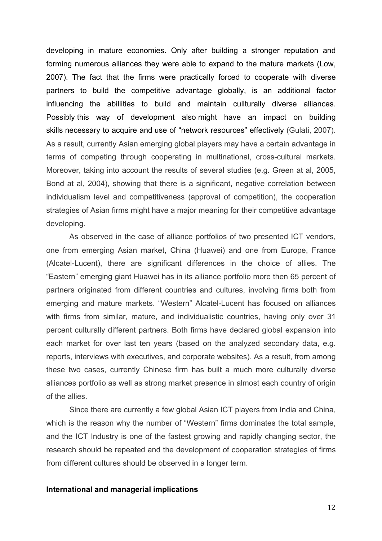developing in mature economies. Only after building a stronger reputation and forming numerous alliances they were able to expand to the mature markets (Low, 2007). The fact that the firms were practically forced to cooperate with diverse partners to build the competitive advantage globally, is an additional factor influencing the abillities to build and maintain cullturally diverse alliances. Possibly this way of development also might have an impact on building skills necessary to acquire and use of "network resources" effectively (Gulati, 2007). As a result, currently Asian emerging global players may have a certain advantage in terms of competing through cooperating in multinational, cross-cultural markets. Moreover, taking into account the results of several studies (e.g. Green at al, 2005, Bond at al, 2004), showing that there is a significant, negative correlation between individualism level and competitiveness (approval of competition), the cooperation strategies of Asian firms might have a major meaning for their competitive advantage developing.

As observed in the case of alliance portfolios of two presented ICT vendors, one from emerging Asian market, China (Huawei) and one from Europe, France (Alcatel-Lucent), there are significant differences in the choice of allies. The "Eastern" emerging giant Huawei has in its alliance portfolio more then 65 percent of partners originated from different countries and cultures, involving firms both from emerging and mature markets. "Western" Alcatel-Lucent has focused on alliances with firms from similar, mature, and individualistic countries, having only over 31 percent culturally different partners. Both firms have declared global expansion into each market for over last ten years (based on the analyzed secondary data, e.g. reports, interviews with executives, and corporate websites). As a result, from among these two cases, currently Chinese firm has built a much more culturally diverse alliances portfolio as well as strong market presence in almost each country of origin of the allies.

Since there are currently a few global Asian ICT players from India and China, which is the reason why the number of "Western" firms dominates the total sample, and the ICT Industry is one of the fastest growing and rapidly changing sector, the research should be repeated and the development of cooperation strategies of firms from different cultures should be observed in a longer term.

#### **International and managerial implications**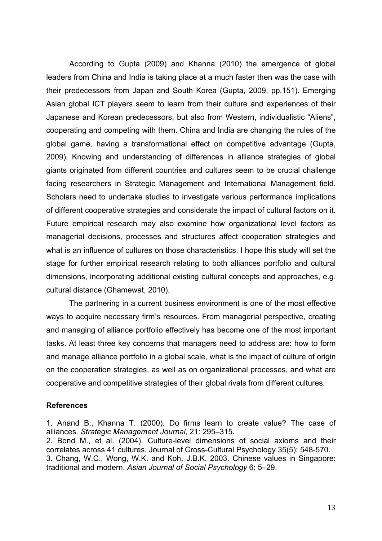According to Gupta (2009) and Khanna (2010) the emergence of global leaders from China and India is taking place at a much faster then was the case with their predecessors from Japan and South Korea (Gupta, 2009, pp.151). Emerging Asian global ICT players seem to learn from their culture and experiences of their Japanese and Korean predecessors, but also from Western, individualistic "Aliens", cooperating and competing with them. China and India are changing the rules of the global game, having a transformational effect on competitive advantage (Gupta, 2009). Knowing and understanding of differences in alliance strategies of global giants originated from different countries and cultures seem to be crucial challenge facing researchers in Strategic Management and International Management field. Scholars need to undertake studies to investigate various performance implications of different cooperative strategies and considerate the impact of cultural factors on it. Future empirical research may also examine how organizational level factors as managerial decisions, processes and structures affect cooperation strategies and what is an influence of cultures on those characteristics. I hope this study will set the stage for further empirical research relating to both alliances portfolio and cultural dimensions, incorporating additional existing cultural concepts and approaches, e.g. cultural distance (Ghamewat, 2010).

The partnering in a current business environment is one of the most effective ways to acquire necessary firm's resources. From managerial perspective, creating and managing of alliance portfolio effectively has become one of the most important tasks. At least three key concerns that managers need to address are: how to form and manage alliance portfolio in a global scale, what is the impact of culture of origin on the cooperation strategies, as well as on organizational processes, and what are cooperative and competitive strategies of their global rivals from different cultures.

## **References**

1. Anand B., Khanna T. (2000). Do firms learn to create value? The case of alliances. *Strategic Management Journal*, 21: 295–315.

2. Bond M., et al. (2004). Culture-level dimensions of social axioms and their correlates across 41 cultures. Journal of Cross-Cultural Psychology 35(5): 548-570. 3. Chang, W.C., Wong, W.K. and Koh, J.B.K. 2003. Chinese values in Singapore: traditional and modern. *Asian Journal of Social Psychology* 6: 5–29.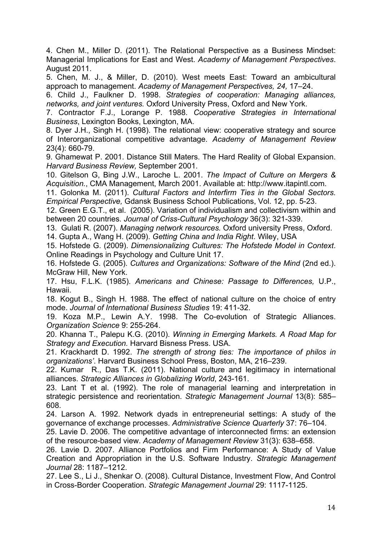4. Chen M., Miller D. (2011). The Relational Perspective as a Business Mindset: Managerial Implications for East and West. *Academy of Management Perspectives*. August 2011.

5. Chen, M. J., & Miller, D. (2010). West meets East: Toward an ambicultural approach to management. *Academy of Management Perspectives, 24,* 17–24.

6. Child J., Faulkner D. 1998. *Strategies of cooperation: Managing alliances, networks, and joint ventures.* Oxford University Press, Oxford and New York.

7. Contractor F.J., Lorange P. 1988. *Cooperative Strategies in International Business*, Lexington Books, Lexington, MA.

8. Dyer J.H., Singh H. (1998). The relational view: cooperative strategy and source of Interorganizational competitive advantage. *Academy of Management Review* 23(4): 660-79.

9. Ghamewat P. 2001. Distance Still Maters. The Hard Reality of Global Expansion. *Harvard Business Review,* September 2001.

10. Gitelson G, Bing J.W., Laroche L. 2001. *The Impact of Culture on Mergers & Acquisition.*, CMA Management, March 2001. Available at: http://www.itapintl.com.

11. Golonka M. (2011). *Cultural Factors and Interfirm Ties in the Global Sectors. Empirical Perspective,* Gdansk Business School Publications, Vol. 12, pp. 5-23.

12. Green E.G.T., et al. (2005). Variation of individualism and collectivism within and between 20 countries. *Journal of Criss-Cultural Psychology* 36(3): 321-339.

13. Gulati R. (2007). *Managing network resources.* Oxford university Press, Oxford.

14. Gupta A., Wang H. (2009). *Getting China and India Right*. Wiley, USA

15. Hofstede G. (2009). *Dimensionalizing Cultures: The Hofstede Model in Context*. Online Readings in Psychology and Culture Unit 17.

16. Hofstede G. (2005). *Cultures and Organizations: Software of the Mind* (2nd ed.). McGraw Hill, New York.

17. Hsu, F.L.K. (1985). *Americans and Chinese: Passage to Differences,* U.P., Hawaii.

18. Kogut B., Singh H. 1988. The effect of national culture on the choice of entry mode. *Journal of International Business Studies* 19: 411-32.

19. Koza M.P., Lewin A.Y. 1998. The Co-evolution of Strategic Alliances. *Organization Science* 9: 255-264.

20. Khanna T., Palepu K.G. (2010). *Winning in Emerging Markets. A Road Map for Strategy and Execution.* Harvard Bisness Press. USA.

21. Krackhardt D. 1992. *The strength of strong ties: The importance of philos in organizations'*. Harvard Business School Press, Boston, MA, 216–239.

22. Kumar R., Das T.K. (2011). National culture and legitimacy in international alliances. *Strategic Alliances in Globalizing World*, 243-161.

23. Lant T et al. (1992). The role of managerial learning and interpretation in strategic persistence and reorientation. *Strategic Management Journal* 13(8): 585– 608.

24. Larson A. 1992. Network dyads in entrepreneurial settings: A study of the governance of exchange processes. *Administrative Science Quarterly* 37: 76–104.

25. Lavie D. 2006. The competitive advantage of interconnected firms: an extension of the resource-based view. *Academy of Management Review* 31(3): 638–658.

26. Lavie D. 2007. Alliance Portfolios and Firm Performance: A Study of Value Creation and Appropriation in the U.S. Software Industry. *Strategic Management Journal* 28: 1187–1212.

27. Lee S., Li J., Shenkar O. (2008). Cultural Distance, Investment Flow, And Control in Cross-Border Cooperation. *Strategic Management Journal* 29: 1117-1125.